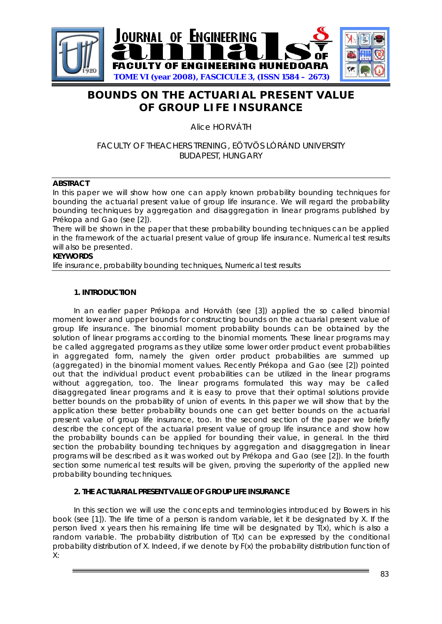

# **BOUNDS ON THE ACTUARIAL PRESENT VALUE OF GROUP LIFE INSURANCE**

Alice HORVÁTH

## FACULTY OF THEACHERS TRENING, EÖTVÖS LÓRÁND UNIVERSITY BUDAPEST, HUNGARY

### **ABSTRACT**

In this paper we will show how one can apply known probability bounding techniques for bounding the actuarial present value of group life insurance. We will regard the probability bounding techniques by aggregation and disaggregation in linear programs published by Prékopa and Gao (see [2]).

There will be shown in the paper that these probability bounding techniques can be applied in the framework of the actuarial present value of group life insurance. Numerical test results will also be presented.

#### **KEYWORDS**

life insurance, probability bounding techniques, Numerical test results

#### **1. INTRODUCTION**

In an earlier paper Prékopa and Horváth (see [3]) applied the so called binomial moment lower and upper bounds for constructing bounds on the actuarial present value of group life insurance. The binomial moment probability bounds can be obtained by the solution of linear programs according to the binomial moments. These linear programs may be called aggregated programs as they utilize some lower order product event probabilities in aggregated form, namely the given order product probabilities are summed up (aggregated) in the binomial moment values. Recently Prékopa and Gao (see [2]) pointed out that the individual product event probabilities can be utilized in the linear programs without aggregation, too. The linear programs formulated this way may be called disaggregated linear programs and it is easy to prove that their optimal solutions provide better bounds on the probability of union of events. In this paper we will show that by the application these better probability bounds one can get better bounds on the actuarial present value of group life insurance, too. In the second section of the paper we briefly describe the concept of the actuarial present value of group life insurance and show how the probability bounds can be applied for bounding their value, in general. In the third section the probability bounding techniques by aggregation and disaggregation in linear programs will be described as it was worked out by Prékopa and Gao (see [2]). In the fourth section some numerical test results will be given, proving the superiority of the applied new probability bounding techniques.

## **2. THE ACTUARIAL PRESENT VALUE OF GROUP LIFE INSURANCE**

In this section we will use the concepts and terminologies introduced by Bowers in his book (see [1]). The life time of a person is random variable, let it be designated by *X*. If the person lived *x* years then his remaining life time will be designated by *T*(*x*), which is also a random variable. The probability distribution of *T*(*x*) can be expressed by the conditional probability distribution of *X*. Indeed, if we denote by *F*(*x*) the probability distribution function of *X*: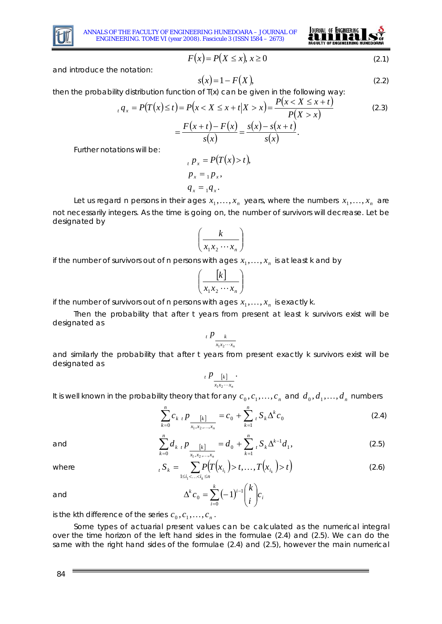

ANNALS OF THE FACULTY OF ENGINEERING HUNEDOARA – JOURNAL OF ENGINEERING. TOME VI (year 2008). Fascicule 3 (ISSN 1584 – 2673)



$$
F(x) = P(X \le x), x \ge 0
$$
\n<sup>(2.1)</sup>

and introduce the notation:

$$
s(x) = 1 - F(X),\tag{2.2}
$$

then the probability distribution function of  $T(x)$  can be given in the following way:

$$
{}_{t}q_{x} = P(T(x) \leq t) = P(x < X \leq x + t | X > x) = \frac{P(x < X \leq x + t)}{P(X > x)}
$$
(2.3)  

$$
= \frac{F(x + t) - F(x)}{s(x)} = \frac{s(x) - s(x + t)}{s(x)}.
$$

Further notations will be:

$$
P_x = P(T(x) > t),
$$
  
\n
$$
P_x = {}_1P_x,
$$
  
\n
$$
q_x = {}_1q_x.
$$

Let us regard *n* persons in their ages  $x_1, \ldots, x_n$  years, where the numbers  $x_1, \ldots, x_n$  are not necessarily integers. As the time is going on, the number of survivors will decrease. Let be designated by

$$
\left(\frac{k}{x_1 x_2 \cdots x_n}\right)
$$

if the number of survivors out of *n* persons with ages  $x_1, \ldots, x_n$  is at least *k* and by

$$
\left(\frac{\begin{bmatrix}k\end{bmatrix}}{x_1x_2\cdots x_n}\right)
$$

if the number of survivors out of *n* persons with ages  $x_1, \ldots, x_n$  is exactly *k*.

Then the probability that after *t* years from present at least *k* survivors exist will be designated as

$$
\int_{t} P_{\frac{k}{x_1 x_2 \cdots x_n}}
$$

and similarly the probability that after *t* years from present exactly *k* survivors exist will be designated as

$$
{}_{t}P_{\frac{[k]}{x_{1}x_{2}\cdots x_{n}}}.
$$

It is well known in the probability theory that for any  $c_0, c_1, ..., c_n$  and  $d_0, d_1, ..., d_n$  numbers

$$
\sum_{k=0}^{n} c_{k} P_{\frac{k!}{x_1, x_2, \dots, x_n}} = c_0 + \sum_{k=1}^{n} {}_{t} S_k \Delta^k c_0
$$
 (2.4)

and 
$$
\sum_{k=0}^{n} d_{k} P_{\frac{k!}{x_1, x_2, \dots, x_n}} = d_0 + \sum_{k=1}^{n} {t} S_k \Delta^{k-1} d_1,
$$
 (2.5)

where 
$$
{}_{t}S_{k} = \sum_{1 \leq i_{1} < ... < i_{k} \leq n} P(T(x_{i_{1}})) > t, ..., T(x_{i_{k}}) > t
$$
 (2.6)

and 
$$
\Delta^k c_0 = \sum_{i=0}^k (-1)^{i-1} {k \choose i} c_i
$$

is the *k*th difference of the series  $c_0, c_1, ..., c_n$ .

Some types of actuarial present values can be calculated as the numerical integral over the time horizon of the left hand sides in the formulae (2.4) and (2.5). We can do the same with the right hand sides of the formulae (2.4) and (2.5), however the main numerical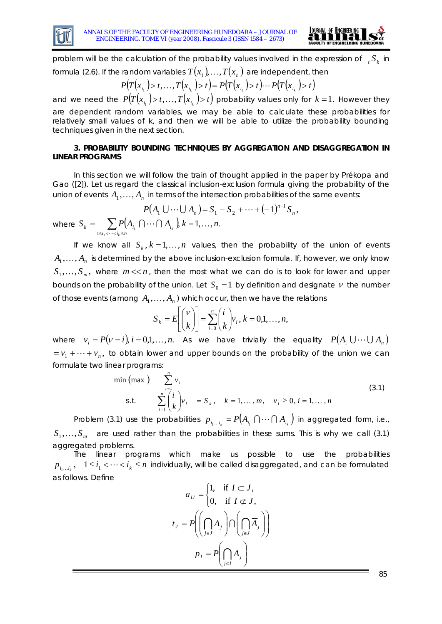



problem will be the calculation of the probability values involved in the expression of  ${}_{i}S_{k}$  in

formula (2.6). If the random variables 
$$
T(x_1),...,T(x_n)
$$
 are independent, then

$$
P(T(x_{i_1}) > t, \ldots, T(x_{i_k}) > t) = P(T(x_{i_1}) > t) \cdots P(T(x_{i_k}) > t)
$$

and we need the  $P\big( T\big( x_{i_{1}}\big) \!> \!t, ..., T\big( x_{i_{k}}\big) \!> \!t \big)$  probability values only for  $k=1.$  However they are dependent random variables, we may be able to calculate these probabilities for relatively small values of *k*, and then we will be able to utilize the probability bounding techniques given in the next section.

### **3. PROBABILITY BOUNDING TECHNIQUES BY AGGREGATION AND DISAGGREGATION IN LINEAR PROGRAMS**

In this section we will follow the train of thought applied in the paper by Prékopa and Gao ([2]). Let us regard the classical inclusion-exclusion formula giving the probability of the union of events  $A_1, \ldots, A_n$  in terms of the intersection probabilities of the same events:

$$
P(A_1 \cup \dots \cup A_n) = S_1 - S_2 + \dots + (-1)^{n-1} S_n,
$$
  
where  $S_k = \sum_{1 \le i_1 < \dots < i_k \le n} P(A_{i_1} \cap \dots \cap A_{i_k}), k = 1, \dots, n.$ 

If we know all  $S_k$ ,  $k = 1,...,n$  values, then the probability of the union of events  $A_{1},\dots, A_{n}$  is determined by the above inclusion-exclusion formula. If, however, we only know  $S_1, \ldots, S_m$ , where  $m \ll n$ , then the most what we can do is to look for lower and upper bounds on the probability of the union. Let  $S_0 = 1$  by definition and designate  $\nu$  the number of those events (among  $A_1, \ldots, A_n$ ) which occur, then we have the relations

$$
S_k = E\left[\binom{V}{k}\right] = \sum_{i=0}^n \binom{i}{k} v_i, k = 0,1,\ldots,n,
$$

where  $v_i = P(v = i), i = 0,1,\ldots,n$ . As we have trivially the equality  $P(A_1 \cup \cdots \cup A_n)$  $v_1 + \cdots + v_n$ , to obtain lower and upper bounds on the probability of the union we can formulate two linear programs:

$$
\min(\max) \sum_{i=1}^{n} v_i
$$
\n
$$
\text{s.t.} \sum_{i=1}^{n} {i \choose k} v_i = S_k, \quad k = 1, ..., m, \quad v_i \ge 0, i = 1, ..., n
$$
\n(3.1)

Problem (3.1) use the probabilities  $p_{i_1...i_k} = P(A_{i_1} \cap \cdots \cap A_{i_k})$  in aggregated form, i.e.,  $S_1, \ldots, S_m$  are used rather than the probabilities in these sums. This is why we call (3.1) aggregated problems.

The linear programs which make us possible to use the probabilities  $p_{i_1...i_k}$ ,  $1 \le i_1 < \cdots < i_k \le n$  individually, will be called disaggregated, and can be formulated as follows. Define

$$
a_{IJ} = \begin{cases} 1, & \text{if } I \subset J, \\ 0, & \text{if } I \subset J, \end{cases}
$$

$$
t_J = P\left(\left(\bigcap_{j \in J} A_j\right) \cap \left(\bigcap_{j \notin J} \overline{A}_j\right)\right)
$$

$$
p_I = P\left(\bigcap_{j \in I} A_j\right)
$$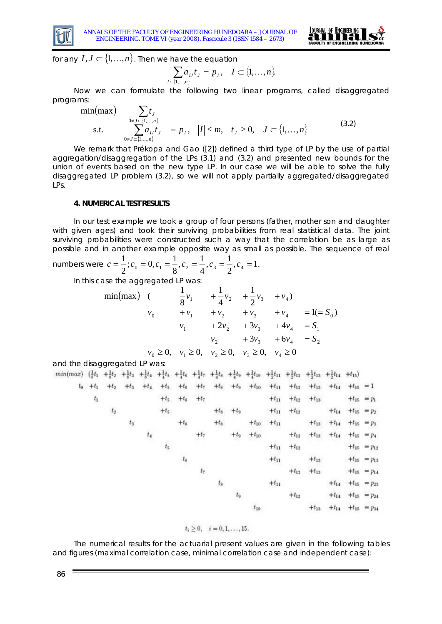



for any  $I, J \subset \{1,...,n\}$ . Then we have the equation

$$
\sum_{J \subset \{1,\dots,n\}} a_{IJ} t_J = p_I, \quad I \subset \{1,\dots,n\}.
$$

Now we can formulate the following two linear programs, called disaggregated programs:

$$
\min(\max) \sum_{0 \neq J \subset \{1,...,n\}} t_J
$$
\n
$$
\sum_{0 \neq J \subset \{1,...,n\}} t_J = p_I, \quad |I| \leq m, \quad t_J \geq 0, \quad J \subset \{1,...,n\}
$$
\n(3.2)

We remark that Prékopa and Gao ([2]) defined a third type of LP by the use of partial aggregation/disaggregation of the LPs (3.1) and (3.2) and presented new bounds for the union of events based on the new type LP. In our case we will be able to solve the fully disaggregated LP problem (3.2), so we will not apply partially aggregated/disaggregated LPs.

#### **4. NUMERICAL TEST RESULTS**

In our test example we took a group of four persons (father, mother son and daughter with given ages) and took their surviving probabilities from real statistical data. The joint surviving probabilities were constructed such a way that the correlation be as large as possible and in another example opposite way as small as possible. The sequence of real 1

numbers were 
$$
c = \frac{1}{2}
$$
;  $c_0 = 0$ ,  $c_1 = \frac{1}{8}$ ,  $c_2 = \frac{1}{4}$ ,  $c_3 = \frac{1}{2}$ ,  $c_4 = 1$ .

In this case the aggregated LP was:

$$
\min(\max) \quad (\qquad \frac{1}{8}v_1 + \frac{1}{4}v_2 + \frac{1}{2}v_3 + v_4)
$$
\n
$$
v_0 + v_1 + v_2 + v_3 + v_4 = 1 (= S_0)
$$
\n
$$
v_1 + 2v_2 + 3v_3 + 4v_4 = S_1
$$
\n
$$
v_2 + 3v_3 + 6v_4 = S_2
$$
\n
$$
v_0 \ge 0, \quad v_1 \ge 0, \quad v_2 \ge 0, \quad v_3 \ge 0, \quad v_4 \ge 0
$$

and the disaggregated LP was:

| $min(max)$ $(\frac{1}{8}t_1 + \frac{1}{8}t_2)$ |               |             |             |        |             |             |         |             |        |                           |           |           |           | $+\frac{1}{8}t_3 + \frac{1}{8}t_4 + \frac{1}{4}t_5 + \frac{1}{4}t_6 + \frac{1}{4}t_7 + \frac{1}{4}t_8 + \frac{1}{4}t_9 + \frac{1}{4}t_{10} + \frac{1}{2}t_{11} + \frac{1}{2}t_{12} + \frac{1}{2}t_{13} + \frac{1}{2}t_{14} + t_{15})$ |                             |                                |
|------------------------------------------------|---------------|-------------|-------------|--------|-------------|-------------|---------|-------------|--------|---------------------------|-----------|-----------|-----------|---------------------------------------------------------------------------------------------------------------------------------------------------------------------------------------------------------------------------------------|-----------------------------|--------------------------------|
|                                                | $t_0$ + $t_1$ | $+t_2$      | $+t_3$      | $+t_4$ | $+ t5$      | $+t_6$      | $+t_7$  |             |        | $+t_8$ + $t_9$ + $t_{10}$ | $+t_{11}$ | $+t_{12}$ |           | $+t_{13}$ $+t_{14}$ $+t_{15}$ = 1                                                                                                                                                                                                     |                             |                                |
|                                                | $t_{\rm 1}$   |             |             |        | $+$ ts      | $+t_6$      | $+t_7$  |             |        |                           | $+t_{11}$ | $+t_{12}$ | $+t_{13}$ |                                                                                                                                                                                                                                       |                             | $+t_{15} = p_1$                |
|                                                |               | $t_{\rm 2}$ |             |        | $+ t5$      |             |         | $+t_8$      | $+t2$  |                           | $+t_{11}$ | $+t_{12}$ |           |                                                                                                                                                                                                                                       | $+t_{14}$ $+t_{15}$ = $p_2$ |                                |
|                                                |               |             | $t_{\rm 3}$ |        |             | $+t_6$      |         | $+t_8$      |        | $+t_{10}$                 | $+t_{11}$ |           |           | $+t_{13}$ $+t_{14}$ $+t_{15}$ = $p_3$                                                                                                                                                                                                 |                             |                                |
|                                                |               |             |             | $t_4$  |             |             | $+t_7$  |             | $+t_9$ | $+t_{10}$                 |           | $+t_{12}$ |           | $+t_{13}$ $+t_{14}$ $+t_{15}$ = $p_4$                                                                                                                                                                                                 |                             |                                |
|                                                |               |             |             |        | $t_{\rm S}$ |             |         |             |        |                           | $+t_{11}$ | $+t_{12}$ |           |                                                                                                                                                                                                                                       |                             | $+t_{15} = p_{12}$             |
|                                                |               |             |             |        |             | $t_{\rm 6}$ |         |             |        |                           | $+t_{11}$ |           | $+t_{13}$ |                                                                                                                                                                                                                                       |                             | $+t_{15} = p_{13}$             |
|                                                |               |             |             |        |             |             | $t_7\,$ |             |        |                           |           | $+t_{12}$ | $+t_{13}$ |                                                                                                                                                                                                                                       |                             | $+t_{15} = p_{14}$             |
|                                                |               |             |             |        |             |             |         | $t_{\rm 8}$ |        |                           | $+t_{11}$ |           |           |                                                                                                                                                                                                                                       |                             | $+t_{14}$ $+t_{15}$ = $p_{23}$ |
|                                                |               |             |             |        |             |             |         |             | $t_9$  |                           |           | $+t_{12}$ |           |                                                                                                                                                                                                                                       |                             | $+t_{14}$ $+t_{15}$ = $p_{24}$ |
|                                                |               |             |             |        |             |             |         |             |        | $t_{10}$                  |           |           | $+t_{13}$ |                                                                                                                                                                                                                                       |                             | $+t_{14}$ $+t_{15}$ = $p_{34}$ |

$$
t_i\geq 0, \quad i=0,1,\ldots,15.
$$

The numerical results for the actuarial present values are given in the following tables and figures (maximal correlation case, minimal correlation case and independent case):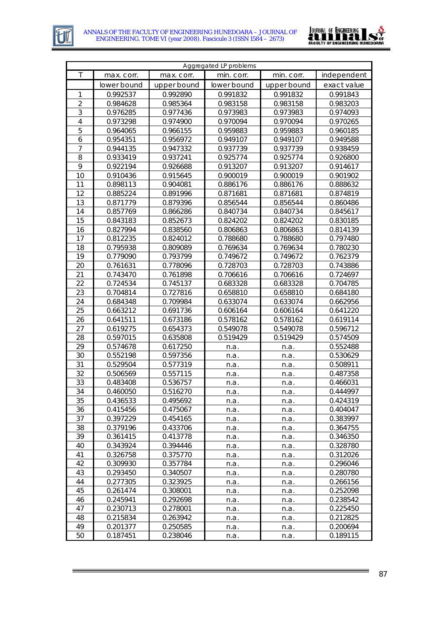



| Aggregated LP problems |                      |                      |             |             |             |  |  |  |
|------------------------|----------------------|----------------------|-------------|-------------|-------------|--|--|--|
| Τ                      | max. corr.           | max. corr.           | min. corr.  | min. corr.  | independent |  |  |  |
|                        | lower bound          | upper bound          | lower bound | upper bound | exact value |  |  |  |
| 1                      | 0.992537             | 0.992890             | 0.991832    | 0.991832    | 0.991843    |  |  |  |
| $\overline{2}$         | 0.984628             | 0.985364             | 0.983158    | 0.983158    | 0.983203    |  |  |  |
| 3                      | 0.976285             | 0.977436             | 0.973983    | 0.973983    | 0.974093    |  |  |  |
| $\overline{4}$         | 0.973298             | 0.974900             | 0.970094    | 0.970094    | 0.970265    |  |  |  |
| 5                      | 0.964065             | 0.966155             | 0.959883    | 0.959883    | 0.960185    |  |  |  |
| 6                      | 0.954351             | 0.956972             | 0.949107    | 0.949107    | 0.949588    |  |  |  |
| $\overline{7}$         | 0.944135             | 0.947332             | 0.937739    | 0.937739    | 0.938459    |  |  |  |
| 8                      | 0.933419             | 0.937241             | 0.925774    | 0.925774    | 0.926800    |  |  |  |
| 9                      | 0.922194             | 0.926688             | 0.913207    | 0.913207    | 0.914617    |  |  |  |
| 10                     | 0.910436             | 0.915645             | 0.900019    | 0.900019    | 0.901902    |  |  |  |
| 11                     | 0.898113             | 0.904081             | 0.886176    | 0.886176    | 0.888632    |  |  |  |
| 12                     | 0.885224             | 0.891996             | 0.871681    | 0.871681    | 0.874819    |  |  |  |
| 13                     | 0.871779             | 0.879396             | 0.856544    | 0.856544    | 0.860486    |  |  |  |
| 14                     | 0.857769             | 0.866286             | 0.840734    | 0.840734    | 0.845617    |  |  |  |
| 15                     | 0.843183             | 0.852673             | 0.824202    | 0.824202    | 0.830185    |  |  |  |
| 16                     | 0.827994             | 0.838560             | 0.806863    | 0.806863    | 0.814139    |  |  |  |
| 17                     | 0.812235             | 0.824012             | 0.788680    | 0.788680    | 0.797480    |  |  |  |
| 18                     | 0.795938             | 0.809089             | 0.769634    | 0.769634    | 0.780230    |  |  |  |
| 19                     | 0.779090             | 0.793799             | 0.749672    | 0.749672    | 0.762379    |  |  |  |
| 20                     | 0.761631             | 0.778096             | 0.728703    | 0.728703    | 0.743886    |  |  |  |
| 21                     | 0.743470             | 0.761898             | 0.706616    | 0.706616    | 0.724697    |  |  |  |
| 22                     | 0.724534             | 0.745137             | 0.683328    | 0.683328    | 0.704785    |  |  |  |
| 23                     | 0.704814             | 0.727816             | 0.658810    | 0.658810    | 0.684180    |  |  |  |
| 24                     | 0.684348             | 0.709984             | 0.633074    | 0.633074    | 0.662956    |  |  |  |
| 25                     | 0.663212             | 0.691736             | 0.606164    | 0.606164    | 0.641220    |  |  |  |
| 26                     | 0.641511             | 0.673186             | 0.578162    | 0.578162    | 0.619114    |  |  |  |
| 27                     | 0.619275             | 0.654373             | 0.549078    | 0.549078    | 0.596712    |  |  |  |
| 28                     | 0.597015             | 0.635808             | 0.519429    | 0.519429    | 0.574509    |  |  |  |
| 29                     | 0.574678             | 0.617250             | n.a.        | n.a.        | 0.552488    |  |  |  |
| 30                     | 0.552198             | 0.597356             | n.a.        | n.a.        | 0.530629    |  |  |  |
| 31                     | 0.529504             | 0.577319             | n.a.        | n.a.        | 0.508911    |  |  |  |
| 32                     | 0.506569             | 0.557115             | n.a.        | n.a.        | 0.487358    |  |  |  |
| 33                     | 0.483408             | 0.536757             | n.a.        | n.a.        | 0.466031    |  |  |  |
| 34                     | 0.460050             | 0.516270             | n.a.        | n.a.        | 0.444997    |  |  |  |
| 35                     | 0.436533             | 0.495692             | n.a.        | n.a.        | 0.424319    |  |  |  |
| 36                     | 0.415456             | 0.475067             | n.a.        | n.a.        | 0.404047    |  |  |  |
| 37                     | 0.397229             | 0.454165             | n.a.        | n.a.        | 0.383997    |  |  |  |
| 38                     | 0.379196             | 0.433706             | n.a.        | n.a.        | 0.364755    |  |  |  |
| 39                     | 0.361415             | 0.413778             | n.a.        | n.a.        | 0.346350    |  |  |  |
| 40                     | 0.343924             | 0.394446             | n.a.        | n.a.        | 0.328780    |  |  |  |
| 41                     | 0.326758             | 0.375770             | n.a.        | n.a.        | 0.312026    |  |  |  |
| 42                     | 0.309930             | 0.357784             | n.a.        | n.a.        | 0.296046    |  |  |  |
| 43                     | 0.293450             | 0.340507             | n.a.        | n.a.        | 0.280780    |  |  |  |
| 44                     | 0.277305             | 0.323925             | n.a.        | n.a.        | 0.266156    |  |  |  |
| 45                     | 0.261474             | 0.308001             | n.a.        | n.a.        | 0.252098    |  |  |  |
| 46                     | 0.245941             | 0.292698             | n.a.        | n.a.        | 0.238542    |  |  |  |
| 47                     | 0.230713             | 0.278001             | n.a.        | n.a.        | 0.225450    |  |  |  |
| 48<br>49               | 0.215834             | 0.263942             | n.a.        | n.a.        | 0.212825    |  |  |  |
| 50                     | 0.201377<br>0.187451 | 0.250585<br>0.238046 | n.a.        | n.a.        | 0.200694    |  |  |  |
|                        |                      |                      | n.a.        | n.a.        | 0.189115    |  |  |  |

=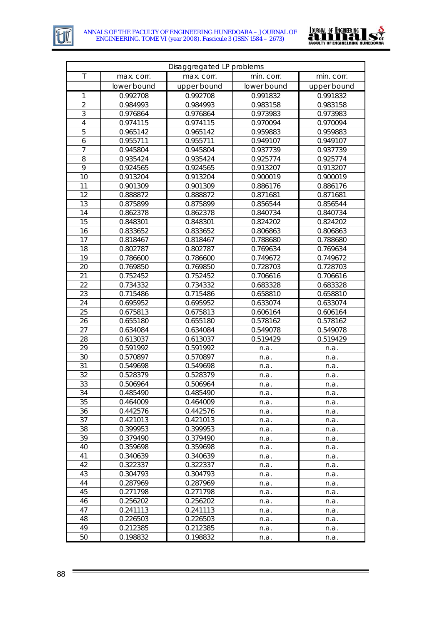



| Disaggregated LP problems |                      |                      |              |              |  |  |  |  |
|---------------------------|----------------------|----------------------|--------------|--------------|--|--|--|--|
| $\mathsf T$               | max. corr.           | max. corr.           | min. corr.   | min. corr.   |  |  |  |  |
|                           | lower bound          | upper bound          | lower bound  | upper bound  |  |  |  |  |
| 1                         | 0.992708             | 0.992708             | 0.991832     | 0.991832     |  |  |  |  |
| $\overline{2}$            | 0.984993             | 0.984993             | 0.983158     | 0.983158     |  |  |  |  |
| 3                         | 0.976864             | 0.976864             | 0.973983     | 0.973983     |  |  |  |  |
| $\overline{4}$            | 0.974115             | 0.974115             | 0.970094     | 0.970094     |  |  |  |  |
| 5                         | 0.965142             | 0.965142             | 0.959883     | 0.959883     |  |  |  |  |
| 6                         | 0.955711             | 0.955711             | 0.949107     | 0.949107     |  |  |  |  |
| $\overline{7}$            | 0.945804             | 0.945804             | 0.937739     | 0.937739     |  |  |  |  |
| 8                         | 0.935424             | 0.935424             | 0.925774     | 0.925774     |  |  |  |  |
| 9                         | 0.924565             | 0.924565             | 0.913207     | 0.913207     |  |  |  |  |
| 10                        | 0.913204             | 0.913204             | 0.900019     | 0.900019     |  |  |  |  |
| 11                        | 0.901309             | 0.901309             | 0.886176     | 0.886176     |  |  |  |  |
| 12                        | 0.888872             | 0.888872             | 0.871681     | 0.871681     |  |  |  |  |
| 13                        | 0.875899             | 0.875899             | 0.856544     | 0.856544     |  |  |  |  |
| 14                        | 0.862378             | 0.862378             | 0.840734     | 0.840734     |  |  |  |  |
| 15                        | 0.848301             | 0.848301             | 0.824202     | 0.824202     |  |  |  |  |
| 16                        | 0.833652             | 0.833652             | 0.806863     | 0.806863     |  |  |  |  |
| 17                        | 0.818467             | 0.818467             | 0.788680     | 0.788680     |  |  |  |  |
| 18                        | 0.802787             | 0.802787             | 0.769634     | 0.769634     |  |  |  |  |
| 19                        | 0.786600             | 0.786600             | 0.749672     | 0.749672     |  |  |  |  |
| 20                        | 0.769850             | 0.769850             | 0.728703     | 0.728703     |  |  |  |  |
| 21                        | 0.752452             | 0.752452             | 0.706616     | 0.706616     |  |  |  |  |
| 22                        | 0.734332             | 0.734332             | 0.683328     | 0.683328     |  |  |  |  |
| 23                        | 0.715486             | 0.715486             | 0.658810     | 0.658810     |  |  |  |  |
| 24                        | 0.695952             | 0.695952             | 0.633074     | 0.633074     |  |  |  |  |
| 25                        | 0.675813             | 0.675813             | 0.606164     | 0.606164     |  |  |  |  |
| 26                        | 0.655180             | 0.655180             | 0.578162     | 0.578162     |  |  |  |  |
| 27                        | 0.634084             | 0.634084             | 0.549078     | 0.549078     |  |  |  |  |
| 28                        | 0.613037             | 0.613037             | 0.519429     | 0.519429     |  |  |  |  |
| 29                        | 0.591992             | 0.591992             | n.a.         | n.a.         |  |  |  |  |
| 30                        | 0.570897             | 0.570897             | n.a.         | n.a.         |  |  |  |  |
| 31                        | 0.549698             | 0.549698             | n.a.         | n.a.         |  |  |  |  |
| 32                        | 0.528379             | 0.528379             | n.a.         | n.a.         |  |  |  |  |
| 33                        | 0.506964             | 0.506964             | n.a.         | n.a.         |  |  |  |  |
| 34                        | 0.485490             | 0.485490             | n.a.         | n.a.         |  |  |  |  |
| 35                        | 0.464009             | 0.464009             | n.a.         | n.a.         |  |  |  |  |
| 36<br>37                  | 0.442576<br>0.421013 | 0.442576<br>0.421013 | n.a.         | n.a.         |  |  |  |  |
| 38                        | 0.399953             | 0.399953             | n.a.         | n.a.         |  |  |  |  |
| 39                        | 0.379490             | 0.379490             | n.a.<br>n.a. | n.a.<br>n.a. |  |  |  |  |
| 40                        | 0.359698             | 0.359698             | n.a.         | n.a.         |  |  |  |  |
| 41                        | 0.340639             | 0.340639             |              |              |  |  |  |  |
| 42                        | 0.322337             | 0.322337             | n.a.<br>n.a. | n.a.<br>n.a. |  |  |  |  |
| 43                        | 0.304793             | 0.304793             | n.a.         | n.a.         |  |  |  |  |
| 44                        | 0.287969             | 0.287969             | n.a.         | n.a.         |  |  |  |  |
| 45                        | 0.271798             | 0.271798             | n.a.         | n.a.         |  |  |  |  |
| 46                        | 0.256202             | 0.256202             | n.a.         | n.a.         |  |  |  |  |
| 47                        | 0.241113             | 0.241113             | n.a.         | n.a.         |  |  |  |  |
| 48                        | 0.226503             | 0.226503             | n.a.         | n.a.         |  |  |  |  |
| 49                        | 0.212385             | 0.212385             | n.a.         | n.a.         |  |  |  |  |
| 50                        | 0.198832             | 0.198832             | n.a.         | n.a.         |  |  |  |  |

 $\equiv$